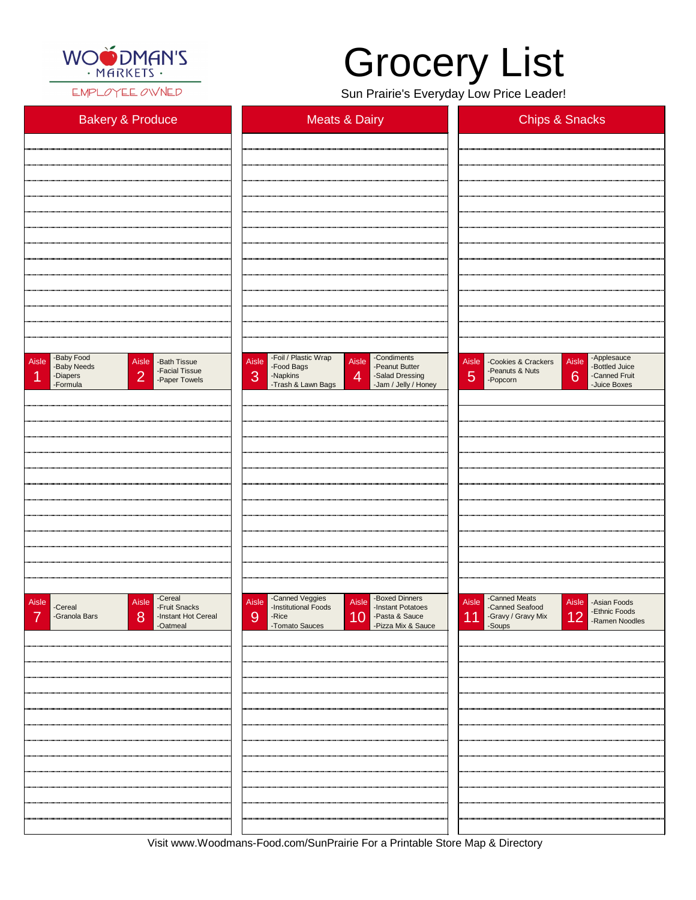

EMPLOYEE OWNED

## Grocery List

Sun Prairie's Everyday Low Price Leader!

| <b>Bakery &amp; Produce</b>                                                                                                              | <b>Meats &amp; Dairy</b>                                                                                                                                                                  | <b>Chips &amp; Snacks</b>                                                                                                                          |  |
|------------------------------------------------------------------------------------------------------------------------------------------|-------------------------------------------------------------------------------------------------------------------------------------------------------------------------------------------|----------------------------------------------------------------------------------------------------------------------------------------------------|--|
|                                                                                                                                          |                                                                                                                                                                                           |                                                                                                                                                    |  |
|                                                                                                                                          |                                                                                                                                                                                           |                                                                                                                                                    |  |
|                                                                                                                                          |                                                                                                                                                                                           |                                                                                                                                                    |  |
|                                                                                                                                          |                                                                                                                                                                                           |                                                                                                                                                    |  |
|                                                                                                                                          |                                                                                                                                                                                           |                                                                                                                                                    |  |
|                                                                                                                                          |                                                                                                                                                                                           |                                                                                                                                                    |  |
|                                                                                                                                          |                                                                                                                                                                                           |                                                                                                                                                    |  |
|                                                                                                                                          |                                                                                                                                                                                           |                                                                                                                                                    |  |
|                                                                                                                                          |                                                                                                                                                                                           |                                                                                                                                                    |  |
|                                                                                                                                          |                                                                                                                                                                                           |                                                                                                                                                    |  |
|                                                                                                                                          |                                                                                                                                                                                           |                                                                                                                                                    |  |
|                                                                                                                                          |                                                                                                                                                                                           |                                                                                                                                                    |  |
|                                                                                                                                          |                                                                                                                                                                                           |                                                                                                                                                    |  |
|                                                                                                                                          |                                                                                                                                                                                           |                                                                                                                                                    |  |
| -Baby Food<br>Aisle<br>Aisle<br>-Bath Tissue<br>-Baby Needs<br>-Facial Tissue<br>$\overline{2}$<br>-Diapers<br>-Paper Towels<br>-Formula | -Foil / Plastic Wrap<br>-Condiments<br>Aisle<br>Aisle<br>-Peanut Butter<br>-Food Bags<br>3<br>$\overline{4}$<br>-Napkins<br>-Salad Dressing<br>-Trash & Lawn Bags<br>-Jam / Jelly / Honey | -Applesauce<br>Aisle<br>Aisle<br>-Cookies & Crackers<br>-Bottled Juice<br>-Peanuts & Nuts<br> 5 <br>6<br>-Canned Fruit<br>-Popcorn<br>-Juice Boxes |  |
|                                                                                                                                          |                                                                                                                                                                                           |                                                                                                                                                    |  |
|                                                                                                                                          |                                                                                                                                                                                           |                                                                                                                                                    |  |
|                                                                                                                                          |                                                                                                                                                                                           |                                                                                                                                                    |  |
|                                                                                                                                          |                                                                                                                                                                                           |                                                                                                                                                    |  |
|                                                                                                                                          |                                                                                                                                                                                           |                                                                                                                                                    |  |
|                                                                                                                                          |                                                                                                                                                                                           |                                                                                                                                                    |  |
|                                                                                                                                          |                                                                                                                                                                                           |                                                                                                                                                    |  |
|                                                                                                                                          |                                                                                                                                                                                           |                                                                                                                                                    |  |
|                                                                                                                                          |                                                                                                                                                                                           |                                                                                                                                                    |  |
|                                                                                                                                          |                                                                                                                                                                                           |                                                                                                                                                    |  |
|                                                                                                                                          |                                                                                                                                                                                           |                                                                                                                                                    |  |
|                                                                                                                                          |                                                                                                                                                                                           |                                                                                                                                                    |  |
|                                                                                                                                          |                                                                                                                                                                                           |                                                                                                                                                    |  |
| -Cereal<br>Aisle<br>Aisle<br>-Fruit Snacks<br>-Cereal                                                                                    | -Canned Veggies<br>-Institutional Foods<br>-Boxed Dinners<br>Aisle<br>Aisle<br>-Instant Potatoes                                                                                          | -Canned Meats<br>Aisle<br>Aisle   - Asian Foods<br>-Canned Seafood<br>-Fthnic Foods<br>المناد                                                      |  |

| -Granola Bars<br>-Instant Hot Cereal<br>-Oatmeal<br>8<br>7 | 9<br>-Rice<br>-Tomato Sauces | 10 -Pasta & Sauce<br>-Pizza Mix & Sauce | 11 -Gravy / Gravy Mix | <b>12</b> - Ramen Noodles |
|------------------------------------------------------------|------------------------------|-----------------------------------------|-----------------------|---------------------------|
|                                                            |                              |                                         |                       |                           |
|                                                            |                              |                                         |                       |                           |
|                                                            |                              |                                         |                       |                           |
|                                                            |                              |                                         |                       |                           |
|                                                            |                              |                                         |                       |                           |
|                                                            |                              |                                         |                       |                           |
|                                                            |                              |                                         |                       |                           |
|                                                            |                              |                                         |                       |                           |
|                                                            |                              |                                         |                       |                           |
|                                                            |                              |                                         |                       |                           |
|                                                            |                              |                                         |                       |                           |

Visit www.Woodmans-Food.com/SunPrairie For a Printable Store Map & Directory